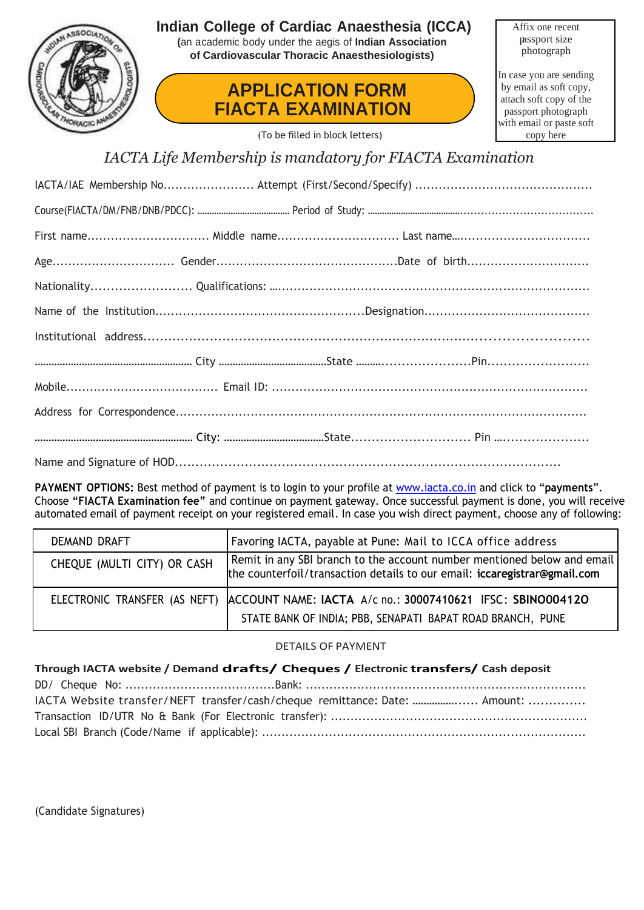

### **Indian College of Cardiac Anaesthesia (ICCA)**

**(**an academic body under the aegis of **Indian Association of Cardiovascular Thoracic Anaesthesiologists)**

## **APPLICATION FORM FIACTA EXAMINATION**

Affix one recent passport size photograph

In case you are sending by email as soft copy, attach soft copy of the passport photograph with email or paste soft copy here

(To be filled in block letters)

*IACTA Life Membership is mandatory for FIACTA Examination*

**PAYMENT OPTIONS:** Best method of payment is to login to your profile at [www.iacta.co.in](http://www.iacta.co.in/) and click to "**payments**". Choose **"FIACTA Examination fee"** and continue on payment gateway. Once successful payment is done, you will receive automated email of payment receipt on your registered email. In case you wish direct payment, choose any of following:

| DEMAND DRAFT                | Favoring IACTA, payable at Pune: Mail to ICCA office address                                                                                           |
|-----------------------------|--------------------------------------------------------------------------------------------------------------------------------------------------------|
| CHEQUE (MULTI CITY) OR CASH | Remit in any SBI branch to the account number mentioned below and email<br>the counterfoil/transaction details to our email: iccaregistrar@gmail.com   |
|                             | ELECTRONIC TRANSFER (AS NEFT) ACCOUNT NAME: IACTA A/c no.: 30007410621 IFSC: SBINO004120<br>STATE BANK OF INDIA; PBB, SENAPATI BAPAT ROAD BRANCH, PUNE |

#### DETAILS OF PAYMENT

| Through IACTA website / Demand drafts/ Cheques / Electronic transfers/ Cash deposit |  |  |  |  |
|-------------------------------------------------------------------------------------|--|--|--|--|
|                                                                                     |  |  |  |  |
| IACTA Website transfer/NEFT transfer/cash/cheque remittance: Date:  Amount:         |  |  |  |  |
|                                                                                     |  |  |  |  |
|                                                                                     |  |  |  |  |

(Candidate Signatures)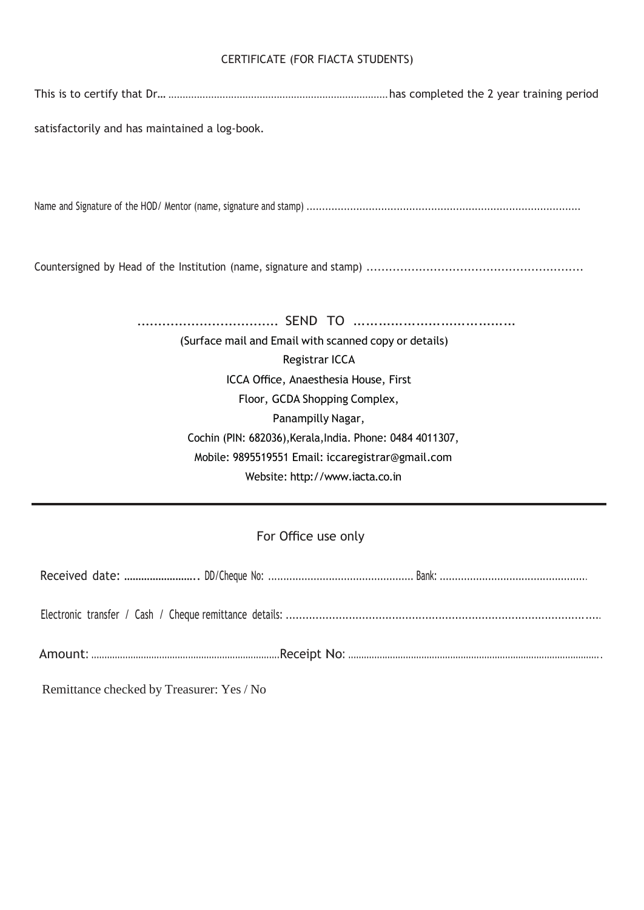#### CERTIFICATE (FOR FIACTA STUDENTS)

This is to certify that Dr… .............................................................................has completed the 2 year training period

satisfactorily and has maintained a log-book.

Name and Signature of the HOD/ Mentor (name, signature and stamp) ........................................................................................

Countersigned by Head of the Institution (name, signature and stamp) ..........................................................

.................................. SEND TO ………………………………… (Surface mail and Email with scanned copy or details) Registrar ICCA ICCA Office, Anaesthesia House, First Floor, GCDA Shopping Complex, Panampilly Nagar, Cochin (PIN: 682036),Kerala,India. Phone: 0484 4011307, Mobile: 9895519551 Email: iccaregistrar@gmail.com Website: http://www.iacta.co.in

#### For Office use only

Remittance checked by Treasurer: Yes / No